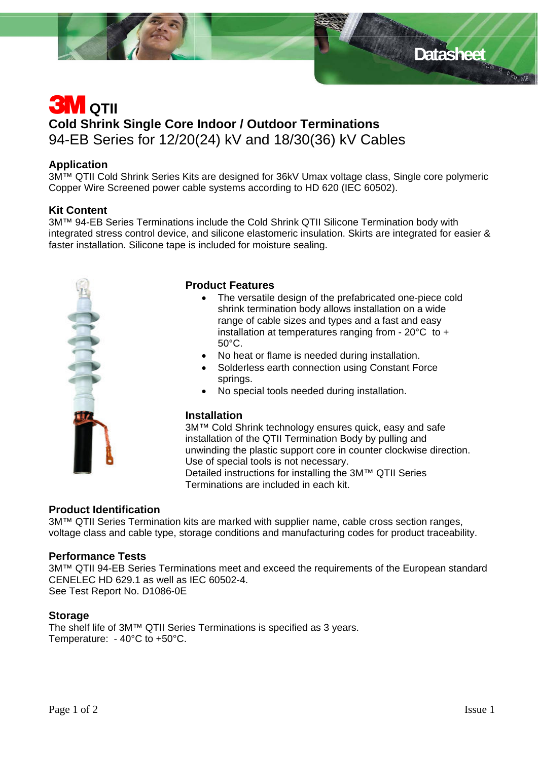

### **Application**

3M™ QTII Cold Shrink Series Kits are designed for 36kV Umax voltage class, Single core polymeric Copper Wire Screened power cable systems according to HD 620 (IEC 60502).

### **Kit Content**

3M™ 94-EB Series Terminations include the Cold Shrink QTII Silicone Termination body with integrated stress control device, and silicone elastomeric insulation. Skirts are integrated for easier & faster installation. Silicone tape is included for moisture sealing.



### **Product Features**

- The versatile design of the prefabricated one-piece cold shrink termination body allows installation on a wide range of cable sizes and types and a fast and easy installation at temperatures ranging from - 20°C to + 50°C.
- No heat or flame is needed during installation.
- Solderless earth connection using Constant Force springs.
- No special tools needed during installation.

#### **Installation**

3M™ Cold Shrink technology ensures quick, easy and safe installation of the QTII Termination Body by pulling and unwinding the plastic support core in counter clockwise direction. Use of special tools is not necessary. Detailed instructions for installing the 3M™ QTII Series Terminations are included in each kit.

### **Product Identification**

3M™ QTII Series Termination kits are marked with supplier name, cable cross section ranges, voltage class and cable type, storage conditions and manufacturing codes for product traceability.

### **Performance Tests**

3M™ QTII 94-EB Series Terminations meet and exceed the requirements of the European standard CENELEC HD 629.1 as well as IEC 60502-4. See Test Report No. D1086-0E

#### **Storage**

The shelf life of 3M™ QTII Series Terminations is specified as 3 years. Temperature: - 40°C to +50°C.

Datasheet **Bang Datasheet**